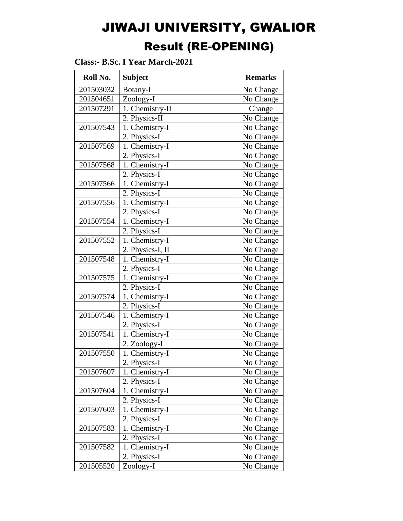# JIWAJI UNIVERSITY, GWALIOR Result (RE-OPENING)

| Roll No.  | <b>Subject</b>                | <b>Remarks</b> |
|-----------|-------------------------------|----------------|
| 201503032 | Botany-I                      | No Change      |
| 201504651 | Zoology-I                     | No Change      |
| 201507291 | $\overline{1}$ . Chemistry-II | Change         |
|           | 2. Physics-II                 | No Change      |
| 201507543 | 1. Chemistry-I                | No Change      |
|           | 2. Physics-I                  | No Change      |
| 201507569 | 1. Chemistry-I                | No Change      |
|           | 2. Physics-I                  | No Change      |
| 201507568 | 1. Chemistry-I                | No Change      |
|           | 2. Physics-I                  | No Change      |
| 201507566 | 1. Chemistry-I                | No Change      |
|           | 2. Physics-I                  | No Change      |
| 201507556 | 1. Chemistry-I                | No Change      |
|           | 2. Physics-I                  | No Change      |
| 201507554 | $\overline{1}$ . Chemistry-I  | No Change      |
|           | 2. Physics-I                  | No Change      |
| 201507552 | 1. Chemistry-I                | No Change      |
|           | 2. Physics-I, II              | No Change      |
| 201507548 | 1. Chemistry-I                | No Change      |
|           | 2. Physics-I                  | No Change      |
| 201507575 | 1. Chemistry-I                | No Change      |
|           | 2. Physics-I                  | No Change      |
| 201507574 | 1. Chemistry-I                | No Change      |
|           | 2. Physics-I                  | No Change      |
| 201507546 | 1. Chemistry-I                | No Change      |
|           | 2. Physics-I                  | No Change      |
| 201507541 | 1. Chemistry-I                | No Change      |
|           | 2. Zoology-I                  | No Change      |
| 201507550 | 1. Chemistry-I                | No Change      |
|           | 2. Physics-I                  | No Change      |
| 201507607 | 1. Chemistry-I                | No Change      |
|           | 2. Physics-I                  | No Change      |
| 201507604 | 1. Chemistry-I                | No Change      |
|           | 2. Physics-I                  | No Change      |
| 201507603 | 1. Chemistry-I                | No Change      |
|           | 2. Physics-I                  | No Change      |
| 201507583 | 1. Chemistry-I                | No Change      |
|           | 2. Physics-I                  | No Change      |
| 201507582 | 1. Chemistry-I                | No Change      |
|           | 2. Physics-I                  | No Change      |
| 201505520 | Zoology-I                     | No Change      |

**Class:- B.Sc. I Year March-2021**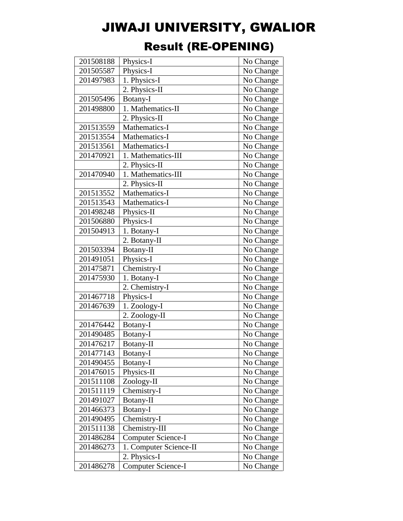| 201508188 | Physics-I                 | No Change |
|-----------|---------------------------|-----------|
| 201505587 | Physics-I                 | No Change |
| 201497983 | 1. Physics-I              | No Change |
|           | 2. Physics-II             | No Change |
| 201505496 | Botany-I                  | No Change |
| 201498800 | 1. Mathematics-II         | No Change |
|           | 2. Physics-II             | No Change |
| 201513559 | Mathematics-I             | No Change |
| 201513554 | Mathematics-I             | No Change |
| 201513561 | Mathematics-I             | No Change |
| 201470921 | 1. Mathematics-III        | No Change |
|           | 2. Physics-II             | No Change |
| 201470940 | 1. Mathematics-III        | No Change |
|           | 2. Physics-II             | No Change |
| 201513552 | Mathematics-I             | No Change |
| 201513543 | Mathematics-I             | No Change |
| 201498248 | Physics-II                | No Change |
| 201506880 | Physics-I                 | No Change |
| 201504913 | 1. Botany-I               | No Change |
|           | 2. Botany-II              | No Change |
| 201503394 | Botany-II                 | No Change |
| 201491051 | Physics-I                 | No Change |
| 201475871 | Chemistry-I               | No Change |
| 201475930 | 1. Botany-I               | No Change |
|           | 2. Chemistry-I            | No Change |
| 201467718 | Physics-I                 | No Change |
| 201467639 | 1. Zoology-I              | No Change |
|           | 2. Zoology-II             | No Change |
| 201476442 | Botany-I                  | No Change |
| 201490485 | Botany-I                  | No Change |
| 201476217 | Botany-II                 | No Change |
| 201477143 | Botany-I                  | No Change |
| 201490455 | Botany-I                  | No Change |
| 201476015 | Physics-II                | No Change |
| 201511108 | Zoology-II                | No Change |
| 201511119 | Chemistry-I               | No Change |
| 201491027 | Botany-II                 | No Change |
| 201466373 | Botany-I                  | No Change |
| 201490495 | Chemistry-I               | No Change |
| 201511138 | Chemistry-III             | No Change |
| 201486284 | <b>Computer Science-I</b> | No Change |
| 201486273 | 1. Computer Science-II    | No Change |
|           | 2. Physics-I              | No Change |
| 201486278 | <b>Computer Science-I</b> | No Change |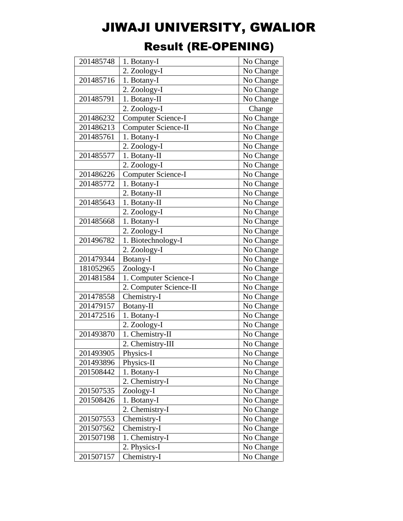| 201485748 | 1. Botany-I                | No Change |
|-----------|----------------------------|-----------|
|           | 2. Zoology-I               | No Change |
| 201485716 | 1. Botany-I                | No Change |
|           | 2. Zoology-I               | No Change |
| 201485791 | 1. Botany-II               | No Change |
|           | 2. Zoology-I               | Change    |
| 201486232 | Computer Science-I         | No Change |
| 201486213 | <b>Computer Science-II</b> | No Change |
| 201485761 | 1. Botany-I                | No Change |
|           | 2. Zoology-I               | No Change |
| 201485577 | 1. Botany-II               | No Change |
|           | 2. Zoology-I               | No Change |
| 201486226 | <b>Computer Science-I</b>  | No Change |
| 201485772 | 1. Botany-I                | No Change |
|           | 2. Botany-II               | No Change |
| 201485643 | 1. Botany-II               | No Change |
|           | 2. Zoology-I               | No Change |
| 201485668 | 1. Botany-I                | No Change |
|           | 2. Zoology-I               | No Change |
| 201496782 | 1. Biotechnology-I         | No Change |
|           | 2. Zoology-I               | No Change |
| 201479344 | Botany-I                   | No Change |
| 181052965 | Zoology-I                  | No Change |
| 201481584 | 1. Computer Science-I      | No Change |
|           | 2. Computer Science-II     | No Change |
| 201478558 | Chemistry-I                | No Change |
| 201479157 | Botany-II                  | No Change |
| 201472516 | 1. Botany-I                | No Change |
|           | 2. Zoology-I               | No Change |
| 201493870 | 1. Chemistry-II            | No Change |
|           | 2. Chemistry-III           | No Change |
| 201493905 | Physics-I                  | No Change |
| 201493896 | Physics-II                 | No Change |
| 201508442 | 1. Botany-I                | No Change |
|           | 2. Chemistry-I             | No Change |
| 201507535 | Zoology-I                  | No Change |
| 201508426 | 1. Botany-I                | No Change |
|           | 2. Chemistry-I             | No Change |
| 201507553 | Chemistry-I                | No Change |
| 201507562 | Chemistry-I                | No Change |
| 201507198 | 1. Chemistry-I             | No Change |
|           | 2. Physics-I               | No Change |
| 201507157 | Chemistry-I                | No Change |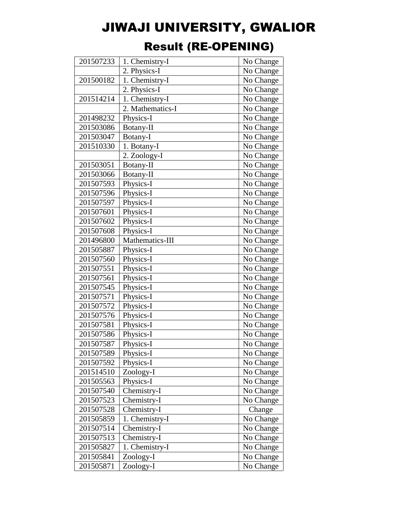| 201507233 | 1. Chemistry-I   | No Change |
|-----------|------------------|-----------|
|           | 2. Physics-I     | No Change |
| 201500182 | 1. Chemistry-I   | No Change |
|           | 2. Physics-I     | No Change |
| 201514214 | 1. Chemistry-I   | No Change |
|           | 2. Mathematics-I | No Change |
| 201498232 | Physics-I        | No Change |
| 201503086 | Botany-II        | No Change |
| 201503047 | Botany-I         | No Change |
| 201510330 | 1. Botany-I      | No Change |
|           | 2. Zoology-I     | No Change |
| 201503051 | Botany-II        | No Change |
| 201503066 | Botany-II        | No Change |
| 201507593 | Physics-I        | No Change |
| 201507596 | Physics-I        | No Change |
| 201507597 | Physics-I        | No Change |
| 201507601 | Physics-I        | No Change |
| 201507602 | Physics-I        | No Change |
| 201507608 | Physics-I        | No Change |
| 201496800 | Mathematics-III  | No Change |
| 201505887 | Physics-I        | No Change |
| 201507560 | Physics-I        | No Change |
| 201507551 | Physics-I        | No Change |
| 201507561 | Physics-I        | No Change |
| 201507545 | Physics-I        | No Change |
| 201507571 | Physics-I        | No Change |
| 201507572 | Physics-I        | No Change |
| 201507576 | Physics-I        | No Change |
| 201507581 | Physics-I        | No Change |
| 201507586 | Physics-I        | No Change |
| 201507587 | Physics-I        | No Change |
| 201507589 | Physics-I        | No Change |
| 201507592 | Physics-I        | No Change |
| 201514510 | Zoology-I        | No Change |
| 201505563 | Physics-I        | No Change |
| 201507540 | Chemistry-I      | No Change |
| 201507523 | Chemistry-I      | No Change |
| 201507528 | Chemistry-I      | Change    |
| 201505859 | 1. Chemistry-I   | No Change |
| 201507514 | Chemistry-I      | No Change |
| 201507513 | Chemistry-I      | No Change |
| 201505827 | 1. Chemistry-I   | No Change |
| 201505841 | Zoology-I        | No Change |
| 201505871 | Zoology-I        | No Change |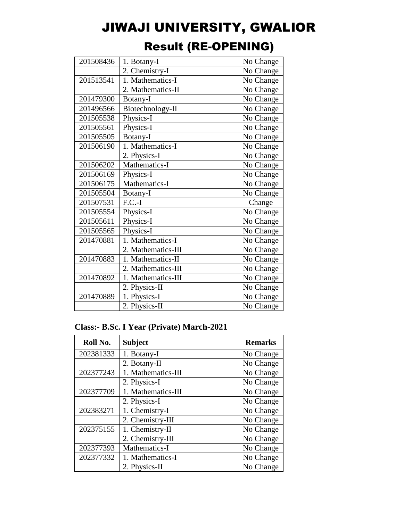| 201508436 | 1. Botany-I                  | No Change |
|-----------|------------------------------|-----------|
|           | $\overline{2}$ . Chemistry-I | No Change |
| 201513541 | 1. Mathematics-I             | No Change |
|           | 2. Mathematics-II            | No Change |
| 201479300 | Botany-I                     | No Change |
| 201496566 | Biotechnology-II             | No Change |
| 201505538 | Physics-I                    | No Change |
| 201505561 | Physics-I                    | No Change |
| 201505505 | Botany-I                     | No Change |
| 201506190 | 1. Mathematics-I             | No Change |
|           | 2. Physics-I                 | No Change |
| 201506202 | Mathematics-I                | No Change |
| 201506169 | Physics-I                    | No Change |
| 201506175 | Mathematics-I                | No Change |
| 201505504 | Botany-I                     | No Change |
| 201507531 | $F.C.-I$                     | Change    |
| 201505554 | Physics-I                    | No Change |
| 201505611 | Physics-I                    | No Change |
| 201505565 | Physics-I                    | No Change |
| 201470881 | 1. Mathematics-I             | No Change |
|           | 2. Mathematics-III           | No Change |
| 201470883 | 1. Mathematics-II            | No Change |
|           | 2. Mathematics-III           | No Change |
| 201470892 | 1. Mathematics-III           | No Change |
|           | 2. Physics-II                | No Change |
| 201470889 | 1. Physics-I                 | No Change |
|           | 2. Physics-II                | No Change |
|           |                              |           |

### Result (RE-OPENING)

### **Class:- B.Sc. I Year (Private) March-2021**

| Roll No.  | <b>Subject</b>     | <b>Remarks</b> |
|-----------|--------------------|----------------|
| 202381333 | 1. Botany-I        | No Change      |
|           | 2. Botany-II       | No Change      |
| 202377243 | 1. Mathematics-III | No Change      |
|           | 2. Physics-I       | No Change      |
| 202377709 | 1. Mathematics-III | No Change      |
|           | 2. Physics-I       | No Change      |
| 202383271 | 1. Chemistry-I     | No Change      |
|           | 2. Chemistry-III   | No Change      |
| 202375155 | 1. Chemistry-II    | No Change      |
|           | 2. Chemistry-III   | No Change      |
| 202377393 | Mathematics-I      | No Change      |
| 202377332 | 1. Mathematics-I   | No Change      |
|           | 2. Physics-II      | No Change      |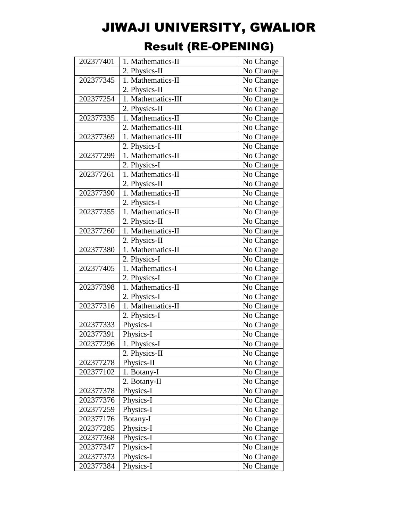| 202377401 | 1. Mathematics-II  | No Change |
|-----------|--------------------|-----------|
|           | 2. Physics-II      | No Change |
| 202377345 | 1. Mathematics-II  | No Change |
|           | 2. Physics-II      | No Change |
| 202377254 | 1. Mathematics-III | No Change |
|           | 2. Physics-II      | No Change |
| 202377335 | 1. Mathematics-II  | No Change |
|           | 2. Mathematics-III | No Change |
| 202377369 | 1. Mathematics-III | No Change |
|           | 2. Physics-I       | No Change |
| 202377299 | 1. Mathematics-II  | No Change |
|           | 2. Physics-I       | No Change |
| 202377261 | 1. Mathematics-II  | No Change |
|           | 2. Physics-II      | No Change |
| 202377390 | 1. Mathematics-II  | No Change |
|           | 2. Physics-I       | No Change |
| 202377355 | 1. Mathematics-II  | No Change |
|           | 2. Physics-II      | No Change |
| 202377260 | 1. Mathematics-II  | No Change |
|           | 2. Physics-II      | No Change |
| 202377380 | 1. Mathematics-II  | No Change |
|           | 2. Physics-I       | No Change |
| 202377405 | 1. Mathematics-I   | No Change |
|           | 2. Physics-I       | No Change |
| 202377398 | 1. Mathematics-II  | No Change |
|           | 2. Physics-I       | No Change |
| 202377316 | 1. Mathematics-II  | No Change |
|           | 2. Physics-I       | No Change |
| 202377333 | Physics-I          | No Change |
| 202377391 | Physics-I          | No Change |
| 202377296 | 1. Physics-I       | No Change |
|           | 2. Physics-II      | No Change |
| 202377278 | Physics-II         | No Change |
| 202377102 | 1. Botany-I        | No Change |
|           | 2. Botany-II       | No Change |
| 202377378 | Physics-I          | No Change |
| 202377376 | Physics-I          | No Change |
| 202377259 | Physics-I          | No Change |
| 202377176 | Botany-I           | No Change |
| 202377285 | Physics-I          | No Change |
| 202377368 | Physics-I          | No Change |
| 202377347 | Physics-I          | No Change |
| 202377373 | Physics-I          | No Change |
| 202377384 | Physics-I          | No Change |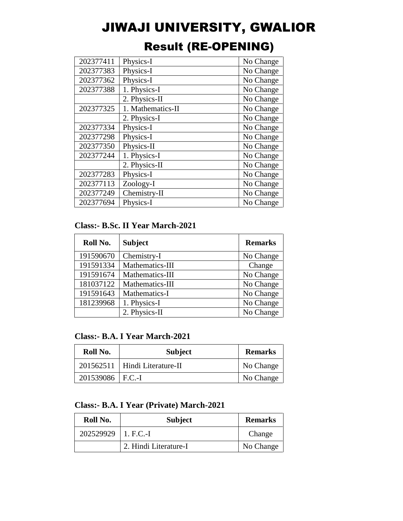| 202377411 | Physics-I         | No Change |
|-----------|-------------------|-----------|
| 202377383 | Physics-I         | No Change |
| 202377362 | Physics-I         | No Change |
| 202377388 | 1. Physics-I      | No Change |
|           | 2. Physics-II     | No Change |
| 202377325 | 1. Mathematics-II | No Change |
|           | 2. Physics-I      | No Change |
| 202377334 | Physics-I         | No Change |
| 202377298 | Physics-I         | No Change |
| 202377350 | Physics-II        | No Change |
| 202377244 | 1. Physics-I      | No Change |
|           | 2. Physics-II     | No Change |
| 202377283 | Physics-I         | No Change |
| 202377113 | Zoology-I         | No Change |
| 202377249 | Chemistry-II      | No Change |
| 202377694 | Physics-I         | No Change |

### Result (RE-OPENING)

#### **Class:- B.Sc. II Year March-2021**

| Roll No.  | <b>Subject</b>  | <b>Remarks</b> |
|-----------|-----------------|----------------|
| 191590670 | Chemistry-I     | No Change      |
| 191591334 | Mathematics-III | Change         |
| 191591674 | Mathematics-III | No Change      |
| 181037122 | Mathematics-III | No Change      |
| 191591643 | Mathematics-I   | No Change      |
| 181239968 | 1. Physics-I    | No Change      |
|           | 2. Physics-II   | No Change      |

**Class:- B.A. I Year March-2021** 

| Roll No.           | <b>Subject</b>                  | <b>Remarks</b> |
|--------------------|---------------------------------|----------------|
|                    | 201562511   Hindi Literature-II | No Change      |
| 201539086   F.C.-I |                                 | No Change      |

#### **Class:- B.A. I Year (Private) March-2021**

| Roll No.              | <b>Subject</b>        | <b>Remarks</b> |
|-----------------------|-----------------------|----------------|
| 202529929   1. F.C.-I |                       | Change         |
|                       | 2. Hindi Literature-I | No Change      |